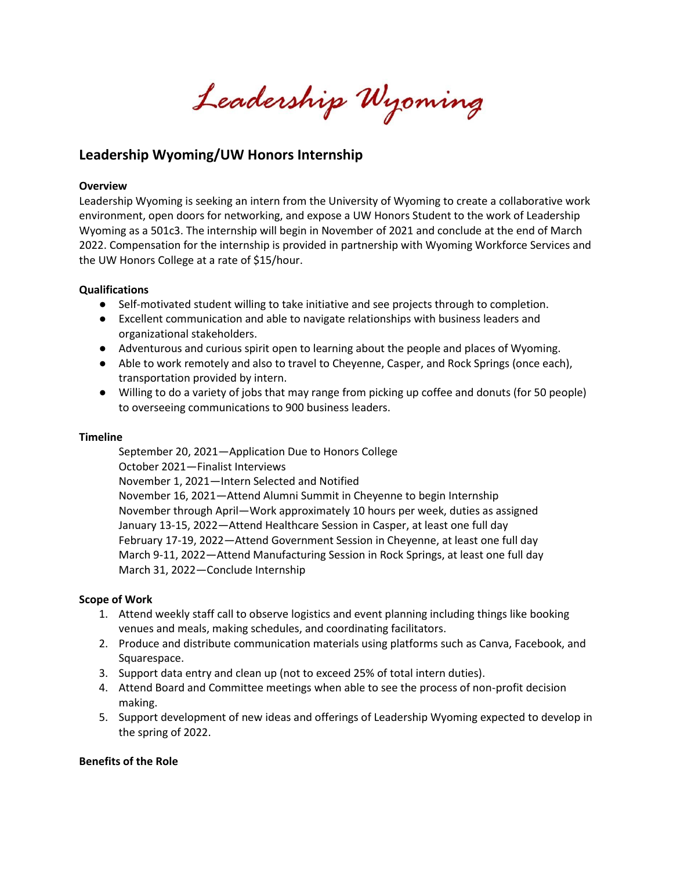Leadership Wyoming

# **Leadership Wyoming/UW Honors Internship**

#### **Overview**

Leadership Wyoming is seeking an intern from the University of Wyoming to create a collaborative work environment, open doors for networking, and expose a UW Honors Student to the work of Leadership Wyoming as a 501c3. The internship will begin in November of 2021 and conclude at the end of March 2022. Compensation for the internship is provided in partnership with Wyoming Workforce Services and the UW Honors College at a rate of \$15/hour.

#### **Qualifications**

- Self-motivated student willing to take initiative and see projects through to completion.
- Excellent communication and able to navigate relationships with business leaders and organizational stakeholders.
- Adventurous and curious spirit open to learning about the people and places of Wyoming.
- Able to work remotely and also to travel to Cheyenne, Casper, and Rock Springs (once each), transportation provided by intern.
- Willing to do a variety of jobs that may range from picking up coffee and donuts (for 50 people) to overseeing communications to 900 business leaders.

#### **Timeline**

September 20, 2021—Application Due to Honors College October 2021—Finalist Interviews November 1, 2021—Intern Selected and Notified November 16, 2021—Attend Alumni Summit in Cheyenne to begin Internship November through April—Work approximately 10 hours per week, duties as assigned January 13-15, 2022—Attend Healthcare Session in Casper, at least one full day February 17-19, 2022—Attend Government Session in Cheyenne, at least one full day March 9-11, 2022—Attend Manufacturing Session in Rock Springs, at least one full day March 31, 2022—Conclude Internship

## **Scope of Work**

- 1. Attend weekly staff call to observe logistics and event planning including things like booking venues and meals, making schedules, and coordinating facilitators.
- 2. Produce and distribute communication materials using platforms such as Canva, Facebook, and Squarespace.
- 3. Support data entry and clean up (not to exceed 25% of total intern duties).
- 4. Attend Board and Committee meetings when able to see the process of non-profit decision making.
- 5. Support development of new ideas and offerings of Leadership Wyoming expected to develop in the spring of 2022.

## **Benefits of the Role**